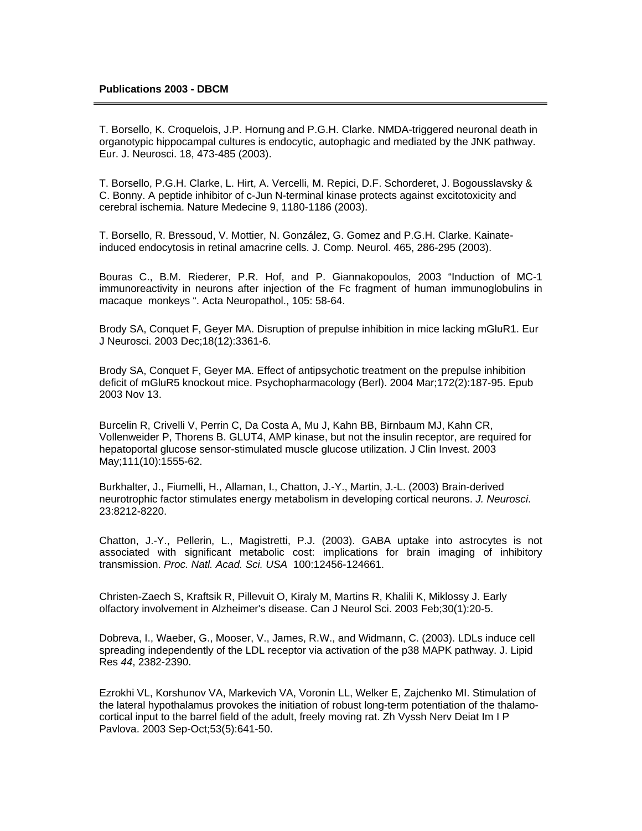T. Borsello, K. Croquelois, J.P. Hornung and P.G.H. Clarke. NMDA-triggered neuronal death in organotypic hippocampal cultures is endocytic, autophagic and mediated by the JNK pathway. Eur. J. Neurosci. 18, 473-485 (2003).

T. Borsello, P.G.H. Clarke, L. Hirt, A. Vercelli, M. Repici, D.F. Schorderet, J. Bogousslavsky & C. Bonny. A peptide inhibitor of c-Jun N-terminal kinase protects against excitotoxicity and cerebral ischemia. Nature Medecine 9, 1180-1186 (2003).

T. Borsello, R. Bressoud, V. Mottier, N. González, G. Gomez and P.G.H. Clarke. Kainateinduced endocytosis in retinal amacrine cells. J. Comp. Neurol. 465, 286-295 (2003).

Bouras C., B.M. Riederer, P.R. Hof, and P. Giannakopoulos, 2003 "Induction of MC-1 immunoreactivity in neurons after injection of the Fc fragment of human immunoglobulins in macaque monkeys ". Acta Neuropathol., 105: 58-64.

Brody SA, Conquet F, Geyer MA. Disruption of prepulse inhibition in mice lacking mGluR1. Eur J Neurosci. 2003 Dec;18(12):3361-6.

Brody SA, Conquet F, Geyer MA. Effect of antipsychotic treatment on the prepulse inhibition deficit of mGluR5 knockout mice. Psychopharmacology (Berl). 2004 Mar;172(2):187-95. Epub 2003 Nov 13.

Burcelin R, Crivelli V, Perrin C, Da Costa A, Mu J, Kahn BB, Birnbaum MJ, Kahn CR, Vollenweider P, Thorens B. GLUT4, AMP kinase, but not the insulin receptor, are required for hepatoportal glucose sensor-stimulated muscle glucose utilization. J Clin Invest. 2003 May;111(10):1555-62.

Burkhalter, J., Fiumelli, H., Allaman, I., Chatton, J.-Y., Martin, J.-L. (2003) Brain-derived neurotrophic factor stimulates energy metabolism in developing cortical neurons. *J. Neurosci*. 23:8212-8220.

Chatton, J.-Y., Pellerin, L., Magistretti, P.J. (2003). GABA uptake into astrocytes is not associated with significant metabolic cost: implications for brain imaging of inhibitory transmission. *Proc. Natl. Acad. Sci. USA* 100:12456-124661.

Christen-Zaech S, Kraftsik R, Pillevuit O, Kiraly M, Martins R, Khalili K, Miklossy J. Early olfactory involvement in Alzheimer's disease. Can J Neurol Sci. 2003 Feb;30(1):20-5.

Dobreva, I., Waeber, G., Mooser, V., James, R.W., and Widmann, C. (2003). LDLs induce cell spreading independently of the LDL receptor via activation of the p38 MAPK pathway. J. Lipid Res *44*, 2382-2390.

Ezrokhi VL, Korshunov VA, Markevich VA, Voronin LL, Welker E, Zajchenko MI. Stimulation of the lateral hypothalamus provokes the initiation of robust long-term potentiation of the thalamocortical input to the barrel field of the adult, freely moving rat. Zh Vyssh Nerv Deiat Im I P Pavlova. 2003 Sep-Oct;53(5):641-50.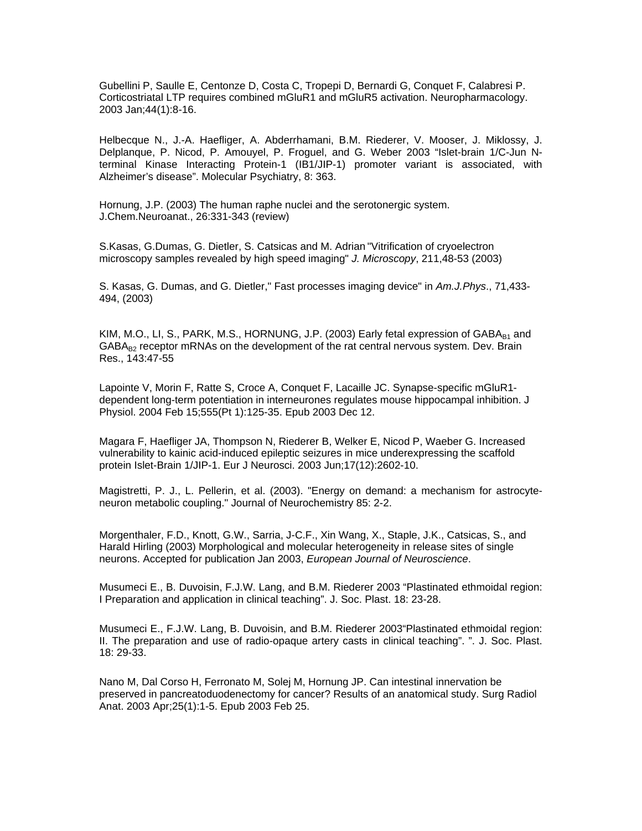Gubellini P, Saulle E, Centonze D, Costa C, Tropepi D, Bernardi G, Conquet F, Calabresi P. Corticostriatal LTP requires combined mGluR1 and mGluR5 activation. Neuropharmacology. 2003 Jan;44(1):8-16.

Helbecque N., J.-A. Haefliger, A. Abderrhamani, B.M. Riederer, V. Mooser, J. Miklossy, J. Delplanque, P. Nicod, P. Amouyel, P. Froguel, and G. Weber 2003 "Islet-brain 1/C-Jun Nterminal Kinase Interacting Protein-1 (IB1/JIP-1) promoter variant is associated, with Alzheimer's disease". Molecular Psychiatry, 8: 363.

Hornung, J.P. (2003) The human raphe nuclei and the serotonergic system. J.Chem.Neuroanat., 26:331-343 (review)

S.Kasas, G.Dumas, G. Dietler, S. Catsicas and M. Adrian "Vitrification of cryoelectron microscopy samples revealed by high speed imaging" *J. Microscopy*, 211,48-53 (2003)

S. Kasas, G. Dumas, and G. Dietler," Fast processes imaging device" in *Am.J.Phys*., 71,433- 494, (2003)

KIM, M.O., LI, S., PARK, M.S., HORNUNG, J.P. (2003) Early fetal expression of  $GABA_{B1}$  and  $GABA_{B2}$  receptor mRNAs on the development of the rat central nervous system. Dev. Brain Res., 143:47-55

Lapointe V, Morin F, Ratte S, Croce A, Conquet F, Lacaille JC. Synapse-specific mGluR1 dependent long-term potentiation in interneurones regulates mouse hippocampal inhibition. J Physiol. 2004 Feb 15;555(Pt 1):125-35. Epub 2003 Dec 12.

Magara F, Haefliger JA, Thompson N, Riederer B, Welker E, Nicod P, Waeber G. Increased vulnerability to kainic acid-induced epileptic seizures in mice underexpressing the scaffold protein Islet-Brain 1/JIP-1. Eur J Neurosci. 2003 Jun;17(12):2602-10.

Magistretti, P. J., L. Pellerin, et al. (2003). "Energy on demand: a mechanism for astrocyteneuron metabolic coupling." Journal of Neurochemistry 85: 2-2.

Morgenthaler, F.D., Knott, G.W., Sarria, J-C.F., Xin Wang, X., Staple, J.K., Catsicas, S., and Harald Hirling (2003) Morphological and molecular heterogeneity in release sites of single neurons. Accepted for publication Jan 2003, *European Journal of Neuroscience*.

Musumeci E., B. Duvoisin, F.J.W. Lang, and B.M. Riederer 2003 "Plastinated ethmoidal region: I Preparation and application in clinical teaching". J. Soc. Plast. 18: 23-28.

Musumeci E., F.J.W. Lang, B. Duvoisin, and B.M. Riederer 2003"Plastinated ethmoidal region: II. The preparation and use of radio-opaque artery casts in clinical teaching". ". J. Soc. Plast. 18: 29-33.

Nano M, Dal Corso H, Ferronato M, Solej M, Hornung JP. Can intestinal innervation be preserved in pancreatoduodenectomy for cancer? Results of an anatomical study. Surg Radiol Anat. 2003 Apr;25(1):1-5. Epub 2003 Feb 25.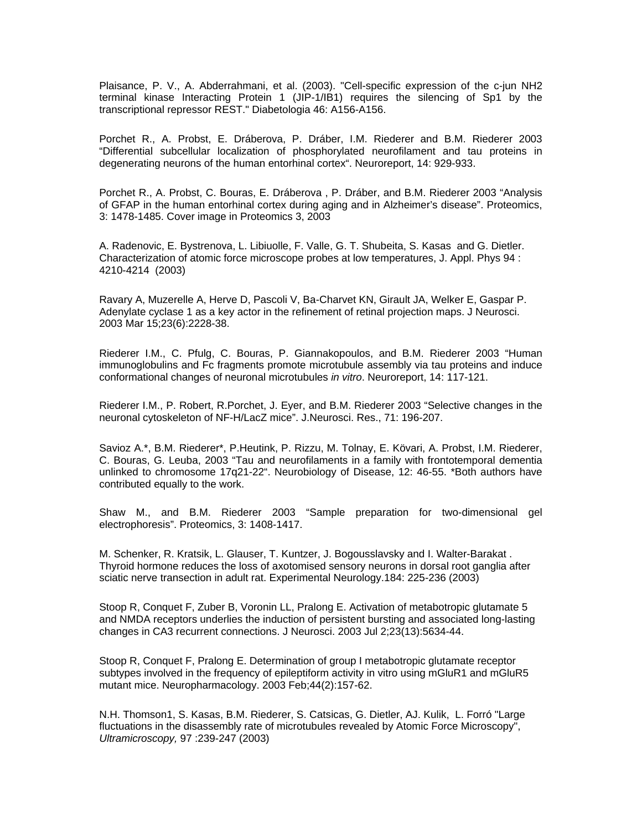Plaisance, P. V., A. Abderrahmani, et al. (2003). "Cell-specific expression of the c-jun NH2 terminal kinase Interacting Protein 1 (JIP-1/IB1) requires the silencing of Sp1 by the transcriptional repressor REST." Diabetologia 46: A156-A156.

Porchet R., A. Probst, E. Dráberova, P. Dráber, I.M. Riederer and B.M. Riederer 2003 "Differential subcellular localization of phosphorylated neurofilament and tau proteins in degenerating neurons of the human entorhinal cortex". Neuroreport, 14: 929-933.

Porchet R., A. Probst, C. Bouras, E. Dráberova , P. Dráber, and B.M. Riederer 2003 "Analysis of GFAP in the human entorhinal cortex during aging and in Alzheimer's disease". Proteomics, 3: 1478-1485. Cover image in Proteomics 3, 2003

A. Radenovic, E. Bystrenova, L. Libiuolle, F. Valle, G. T. Shubeita, S. Kasas and G. Dietler. Characterization of atomic force microscope probes at low temperatures, J. Appl. Phys 94 : 4210-4214 (2003)

Ravary A, Muzerelle A, Herve D, Pascoli V, Ba-Charvet KN, Girault JA, Welker E, Gaspar P. Adenylate cyclase 1 as a key actor in the refinement of retinal projection maps. J Neurosci. 2003 Mar 15;23(6):2228-38.

Riederer I.M., C. Pfulg, C. Bouras, P. Giannakopoulos, and B.M. Riederer 2003 "Human immunoglobulins and Fc fragments promote microtubule assembly via tau proteins and induce conformational changes of neuronal microtubules *in vitro*. Neuroreport, 14: 117-121.

Riederer I.M., P. Robert, R.Porchet, J. Eyer, and B.M. Riederer 2003 "Selective changes in the neuronal cytoskeleton of NF-H/LacZ mice". J.Neurosci. Res., 71: 196-207.

Savioz A.\*, B.M. Riederer\*, P.Heutink, P. Rizzu, M. Tolnay, E. Kövari, A. Probst, I.M. Riederer, C. Bouras, G. Leuba, 2003 "Tau and neurofilaments in a family with frontotemporal dementia unlinked to chromosome 17q21-22". Neurobiology of Disease, 12: 46-55. \*Both authors have contributed equally to the work.

Shaw M., and B.M. Riederer 2003 "Sample preparation for two-dimensional gel electrophoresis". Proteomics, 3: 1408-1417.

M. Schenker, R. Kratsik, L. Glauser, T. Kuntzer, J. Bogousslavsky and I. Walter-Barakat . Thyroid hormone reduces the loss of axotomised sensory neurons in dorsal root ganglia after sciatic nerve transection in adult rat. Experimental Neurology.184: 225-236 (2003)

Stoop R, Conquet F, Zuber B, Voronin LL, Pralong E. Activation of metabotropic glutamate 5 and NMDA receptors underlies the induction of persistent bursting and associated long-lasting changes in CA3 recurrent connections. J Neurosci. 2003 Jul 2;23(13):5634-44.

Stoop R, Conquet F, Pralong E. Determination of group I metabotropic glutamate receptor subtypes involved in the frequency of epileptiform activity in vitro using mGluR1 and mGluR5 mutant mice. Neuropharmacology. 2003 Feb;44(2):157-62.

N.H. Thomson1, S. Kasas, B.M. Riederer, S. Catsicas, G. Dietler, AJ. Kulik, L. Forró "Large fluctuations in the disassembly rate of microtubules revealed by Atomic Force Microscopy", *Ultramicroscopy,* 97 :239-247 (2003)